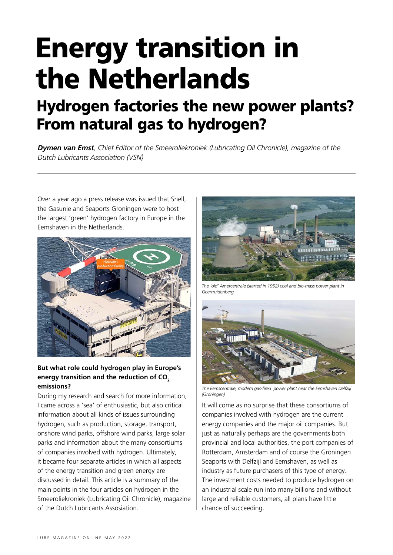# Energy transition in the Netherlands

# Hydrogen factories the new power plants? From natural gas to hydrogen?

*Dymen van Emst, Chief Editor of the Smeeroliekroniek (Lubricating Oil Chronicle), magazine of the Dutch Lubricants Association (VSN)*

Over a year ago a press release was issued that Shell, the Gasunie and Seaports Groningen were to host the largest 'green' hydrogen factory in Europe in the Eemshaven in the Netherlands.



# **But what role could hydrogen play in Europe's**  energy transition and the reduction of CO<sub>2</sub> **emissions?**

During my research and search for more information, I came across a 'sea' of enthusiastic, but also critical information about all kinds of issues surrounding hydrogen, such as production, storage, transport, onshore wind parks, offshore wind parks, large solar parks and information about the many consortiums of companies involved with hydrogen. Ultimately, it became four separate articles in which all aspects of the energy transition and green energy are discussed in detail. This article is a summary of the main points in the four articles on hydrogen in the Smeeroliekroniek (Lubricating Oil Chronicle), magazine of the Dutch Lubricants Assosiation.



*The 'old' Amercentrale,(started in 1952) coal and bio-mass power plant in Geertruidenberg* 



*The Eemscentrale, modern gas-fired power plant near the Eemshaven Delfzijl (Groningen)*

It will come as no surprise that these consortiums of companies involved with hydrogen are the current energy companies and the major oil companies. But just as naturally perhaps are the governments both provincial and local authorities, the port companies of Rotterdam, Amsterdam and of course the Groningen Seaports with Delfzijl and Eemshaven, as well as industry as future purchasers of this type of energy. The investment costs needed to produce hydrogen on an industrial scale run into many billions and without large and reliable customers, all plans have little chance of succeeding.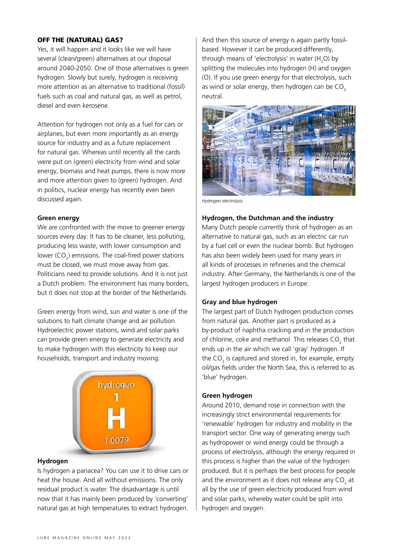# OFF THE (NATURAL) GAS?

Yes, it will happen and it looks like we will have several (clean/green) alternatives at our disposal around 2040-2050. One of those alternatives is green hydrogen. Slowly but surely, hydrogen is receiving more attention as an alternative to traditional (fossil) fuels such as coal and natural gas, as well as petrol, diesel and even kerosene.

Attention for hydrogen not only as a fuel for cars or airplanes, but even more importantly as an energy source for industry and as a future replacement for natural gas. Whereas until recently all the cards were put on (green) electricity from wind and solar energy, biomass and heat pumps, there is now more and more attention given to (green) hydrogen. And in politics, nuclear energy has recently even been discussed again.

#### **Green energy**

We are confronted with the move to greener energy sources every day: It has to be cleaner, less polluting, producing less waste, with lower consumption and lower (CO<sub>2</sub>) emissions. The coal-fired power stations must be closed, we must move away from gas. Politicians need to provide solutions. And it is not just a Dutch problem. The environment has many borders, but it does not stop at the border of the Netherlands.

Green energy from wind, sun and water is one of the solutions to halt climate change and air pollution. Hydroelectric power stations, wind and solar parks can provide green energy to generate electricity and to make hydrogen with this electricity to keep our households, transport and industry moving.



#### **Hydrogen**

Is hydrogen a panacea? You can use it to drive cars or heat the house. And all without emissions. The only residual product is water. The disadvantage is until now that it has mainly been produced by 'converting' natural gas at high temperatures to extract hydrogen.

And then this source of energy is again partly fossilbased. However it can be produced differently, through means of 'electrolysis' in water  $(H<sub>2</sub>O)$  by splitting the molecules into hydrogen (H) and oxygen (O). If you use green energy for that electrolysis, such as wind or solar energy, then hydrogen can be  $CO<sub>2</sub>$ neutral.



*Hydrogen electrolysis*

#### **Hydrogen, the Dutchman and the industry**

Many Dutch people currently think of hydrogen as an alternative to natural gas, such as an electric car run by a fuel cell or even the nuclear bomb. But hydrogen has also been widely been used for many years in all kinds of processes in refineries and the chemical industry. After Germany, the Netherlands is one of the largest hydrogen producers in Europe.

#### **Gray and blue hydrogen**

The largest part of Dutch hydrogen production comes from natural gas. Another part is produced as a by-product of naphtha cracking and in the production of chlorine, coke and methanol. This releases  $CO<sub>2</sub>$  that ends up in the air which we call 'gray' hydrogen. If the  $CO<sub>2</sub>$  is captured and stored in, for example, empty oil/gas fields under the North Sea, this is referred to as 'blue' hydrogen.

#### **Green hydrogen**

Around 2010, demand rose in connection with the increasingly strict environmental requirements for 'renewable' hydrogen for industry and mobility in the transport sector. One way of generating energy such as hydropower or wind energy could be through a process of electrolysis, although the energy required in this process is higher than the value of the hydrogen produced. But it is perhaps the best process for people and the environment as it does not release any  $CO_{2}$  at all by the use of green electricity produced from wind and solar parks, whereby water could be split into hydrogen and oxygen.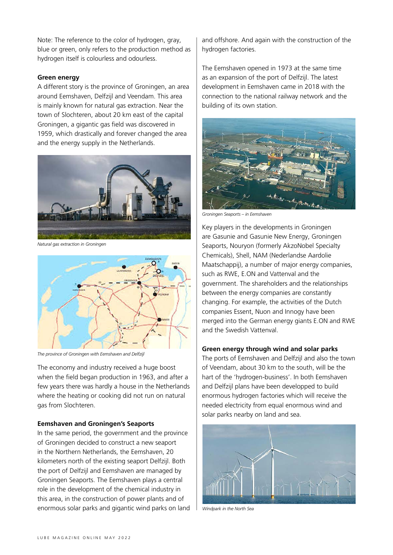Note: The reference to the color of hydrogen, gray, blue or green, only refers to the production method as hydrogen itself is colourless and odourless.

#### **Green energy**

A different story is the province of Groningen, an area around Eemshaven, Delfzijl and Veendam. This area is mainly known for natural gas extraction. Near the town of Slochteren, about 20 km east of the capital Groningen, a gigantic gas field was discovered in 1959, which drastically and forever changed the area and the energy supply in the Netherlands.



*Natural gas extraction in Groningen*



*The province of Groningen with Eemshaven and Delfzijl*

The economy and industry received a huge boost when the field began production in 1963, and after a few years there was hardly a house in the Netherlands where the heating or cooking did not run on natural gas from Slochteren.

#### **Eemshaven and Groningen's Seaports**

In the same period, the government and the province of Groningen decided to construct a new seaport in the Northern Netherlands, the Eemshaven, 20 kilometers north of the existing seaport Delfzijl. Both the port of Delfzijl and Eemshaven are managed by Groningen Seaports. The Eemshaven plays a central role in the development of the chemical industry in this area, in the construction of power plants and of enormous solar parks and gigantic wind parks on land and offshore. And again with the construction of the hydrogen factories.

The Eemshaven opened in 1973 at the same time as an expansion of the port of Delfzijl. The latest development in Eemshaven came in 2018 with the connection to the national railway network and the building of its own station.



*Groningen Seaports – in Eemshaven*

Key players in the developments in Groningen are Gasunie and Gasunie New Energy, Groningen Seaports, Nouryon (formerly AkzoNobel Specialty Chemicals), Shell, NAM (Nederlandse Aardolie Maatschappij), a number of major energy companies, such as RWE, E.ON and Vattenval and the government. The shareholders and the relationships between the energy companies are constantly changing. For example, the activities of the Dutch companies Essent, Nuon and Innogy have been merged into the German energy giants E.ON and RWE and the Swedish Vattenval.

#### **Green energy through wind and solar parks**

The ports of Eemshaven and Delfzijl and also the town of Veendam, about 30 km to the south, will be the hart of the 'hydrogen-business'. In both Eemshaven and Delfzijl plans have been developped to build enormous hydrogen factories which will receive the needed electricity from equal enormous wind and solar parks nearby on land and sea.



*Windpark in the North Sea*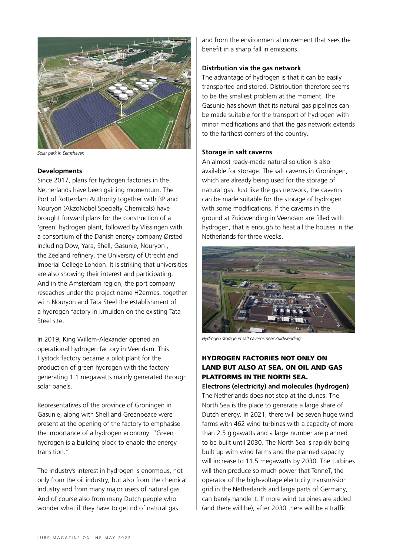

*Solar park in Eemshaven*

#### **Developments**

Since 2017, plans for hydrogen factories in the Netherlands have been gaining momentum. The Port of Rotterdam Authority together with BP and Nouryon (AkzoNobel Specialty Chemicals) have brought forward plans for the construction of a 'green' hydrogen plant, followed by Vlissingen with a consortium of the Danish energy company Ørsted including Dow, Yara, Shell, Gasunie, Nouryon , the Zeeland refinery, the University of Utrecht and Imperial College London. It is striking that universities are also showing their interest and participating. And in the Amsterdam region, the port company reseaches under the project name H2ermes, together with Nouryon and Tata Steel the establishment of a hydrogen factory in IJmuiden on the existing Tata Steel site.

In 2019, King Willem-Alexander opened an operational hydrogen factory in Veendam. This Hystock factory became a pilot plant for the production of green hydrogen with the factory generating 1.1 megawatts mainly generated through solar panels.

Representatives of the province of Groningen in Gasunie, along with Shell and Greenpeace were present at the opening of the factory to emphasise the importance of a hydrogen economy. "Green hydrogen is a building block to enable the energy transition."

The industry's interest in hydrogen is enormous, not only from the oil industry, but also from the chemical industry and from many major users of natural gas. And of course also from many Dutch people who wonder what if they have to get rid of natural gas

and from the environmental movement that sees the benefit in a sharp fall in emissions.

#### **Distrbution via the gas network**

The advantage of hydrogen is that it can be easily transported and stored. Distribution therefore seems to be the smallest problem at the moment. The Gasunie has shown that its natural gas pipelines can be made suitable for the transport of hydrogen with minor modifications and that the gas network extends to the farthest corners of the country.

#### **Storage in salt caverns**

An almost ready-made natural solution is also available for storage. The salt caverns in Groningen, which are already being used for the storage of natural gas. Just like the gas network, the caverns can be made suitable for the storage of hydrogen with some modifications. If the caverns in the ground at Zuidwending in Veendam are filled with hydrogen, that is enough to heat all the houses in the Netherlands for three weeks.



*Hydrogen storage in salt caverns near Zuidwending*

# HYDROGEN FACTORIES NOT ONLY ON LAND BUT ALSO AT SEA. ON OIL AND GAS PLATFORMS IN THE NORTH SEA.

**Electrons (electricity) and molecules (hydrogen)**

The Netherlands does not stop at the dunes. The North Sea is the place to generate a large share of Dutch energy. In 2021, there will be seven huge wind farms with 462 wind turbines with a capacity of more than 2.5 gigawatts and a large number are planned to be built until 2030. The North Sea is rapidly being built up with wind farms and the planned capacity will increase to 11.5 megawatts by 2030. The turbines will then produce so much power that TenneT, the operator of the high-voltage electricity transmission grid in the Netherlands and large parts of Germany, can barely handle it. If more wind turbines are added (and there will be), after 2030 there will be a traffic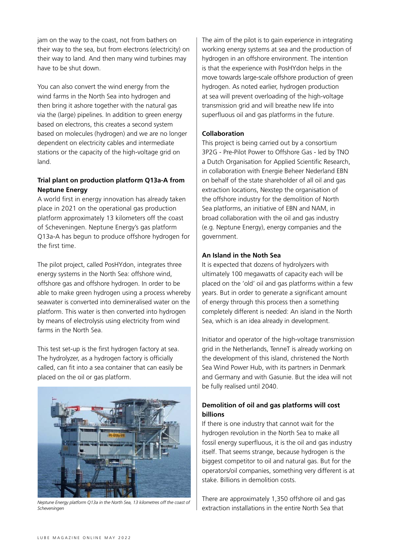jam on the way to the coast, not from bathers on their way to the sea, but from electrons (electricity) on their way to land. And then many wind turbines may have to be shut down.

You can also convert the wind energy from the wind farms in the North Sea into hydrogen and then bring it ashore together with the natural gas via the (large) pipelines. In addition to green energy based on electrons, this creates a second system based on molecules (hydrogen) and we are no longer dependent on electricity cables and intermediate stations or the capacity of the high-voltage grid on land.

# **Trial plant on production platform Q13a-A from Neptune Energy**

A world first in energy innovation has already taken place in 2021 on the operational gas production platform approximately 13 kilometers off the coast of Scheveningen. Neptune Energy's gas platform Q13a-A has begun to produce offshore hydrogen for the first time.

The pilot project, called PosHYdon, integrates three energy systems in the North Sea: offshore wind, offshore gas and offshore hydrogen. In order to be able to make green hydrogen using a process whereby seawater is converted into demineralised water on the platform. This water is then converted into hydrogen by means of electrolysis using electricity from wind farms in the North Sea.

This test set-up is the first hydrogen factory at sea. The hydrolyzer, as a hydrogen factory is officially called, can fit into a sea container that can easily be placed on the oil or gas platform.



*Neptune Energy platform Q13a in the North Sea, 13 kilometres off the coast of Scheveningen* 

The aim of the pilot is to gain experience in integrating working energy systems at sea and the production of hydrogen in an offshore environment. The intention is that the experience with PosHYdon helps in the move towards large-scale offshore production of green hydrogen. As noted earlier, hydrogen production at sea will prevent overloading of the high-voltage transmission grid and will breathe new life into superfluous oil and gas platforms in the future.

# **Collaboration**

This project is being carried out by a consortium 3P2G - Pre-Pilot Power to Offshore Gas - led by TNO a Dutch Organisation for Applied Scientific Research, in collaboration with Energie Beheer Nederland EBN on behalf of the state shareholder of all oil and gas extraction locations, Nexstep the organisation of the offshore industry for the demolition of North Sea platforms, an initiative of EBN and NAM, in broad collaboration with the oil and gas industry (e.g. Neptune Energy), energy companies and the government.

# **An Island in the Noth Sea**

It is expected that dozens of hydrolyzers with ultimately 100 megawatts of capacity each will be placed on the 'old' oil and gas platforms within a few years. But in order to generate a significant amount of energy through this process then a something completely different is needed: An island in the North Sea, which is an idea already in development.

Initiator and operator of the high-voltage transmission grid in the Netherlands, TenneT is already working on the development of this island, christened the North Sea Wind Power Hub, with its partners in Denmark and Germany and with Gasunie. But the idea will not be fully realised until 2040.

# **Demolition of oil and gas platforms will cost billions**

If there is one industry that cannot wait for the hydrogen revolution in the North Sea to make all fossil energy superfluous, it is the oil and gas industry itself. That seems strange, because hydrogen is the biggest competitor to oil and natural gas. But for the operators/oil companies, something very different is at stake. Billions in demolition costs.

There are approximately 1,350 offshore oil and gas extraction installations in the entire North Sea that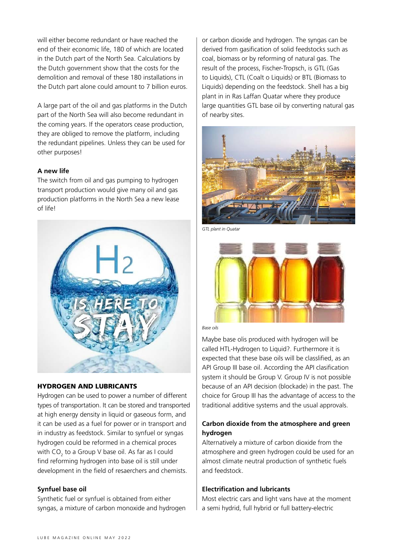will either become redundant or have reached the end of their economic life, 180 of which are located in the Dutch part of the North Sea. Calculations by the Dutch government show that the costs for the demolition and removal of these 180 installations in the Dutch part alone could amount to 7 billion euros.

A large part of the oil and gas platforms in the Dutch part of the North Sea will also become redundant in the coming years. If the operators cease production, they are obliged to remove the platform, including the redundant pipelines. Unless they can be used for other purposes!

# **A new life**

The switch from oil and gas pumping to hydrogen transport production would give many oil and gas production platforms in the North Sea a new lease of life!



# HYDROGEN AND LUBRICANTS

Hydrogen can be used to power a number of different types of transportation. It can be stored and transported at high energy density in liquid or gaseous form, and it can be used as a fuel for power or in transport and in industry as feedstock. Similar to synfuel or syngas hydrogen could be reformed in a chemical proces with CO<sub>2</sub> to a Group V base oil. As far as I could find reforming hydrogen into base oil is still under development in the field of resaerchers and chemists.

# **Synfuel base oil**

Synthetic fuel or synfuel is obtained from either syngas, a mixture of carbon monoxide and hydrogen or carbon dioxide and hydrogen. The syngas can be derived from gasification of solid feedstocks such as coal, biomass or by reforming of natural gas. The result of the process, Fischer-Tropsch, is GTL (Gas to Liquids), CTL (Coalt o Liquids) or BTL (Biomass to Liquids) depending on the feedstock. Shell has a big plant in in Ras Laffan Quatar where they produce large quantities GTL base oil by converting natural gas of nearby sites.



*GTL plant in Quatar*



*Base oils*

Maybe base olis produced with hydrogen will be called HTL-Hydrogen to Liquid?. Furthermore it is expected that these base oils will be classlified, as an API Group III base oil. According the API clasification system it should be Group V. Group IV is not possible because of an API decision (blockade) in the past. The choice for Group III has the advantage of access to the traditional additive systems and the usual approvals.

# **Carbon dioxide from the atmosphere and green hydrogen**

Alternatively a mixture of carbon dioxide from the atmosphere and green hydrogen could be used for an almost climate neutral production of synthetic fuels and feedstock.

# **Electrification and lubricants**

Most electric cars and light vans have at the moment a semi hydrid, full hybrid or full battery-electric